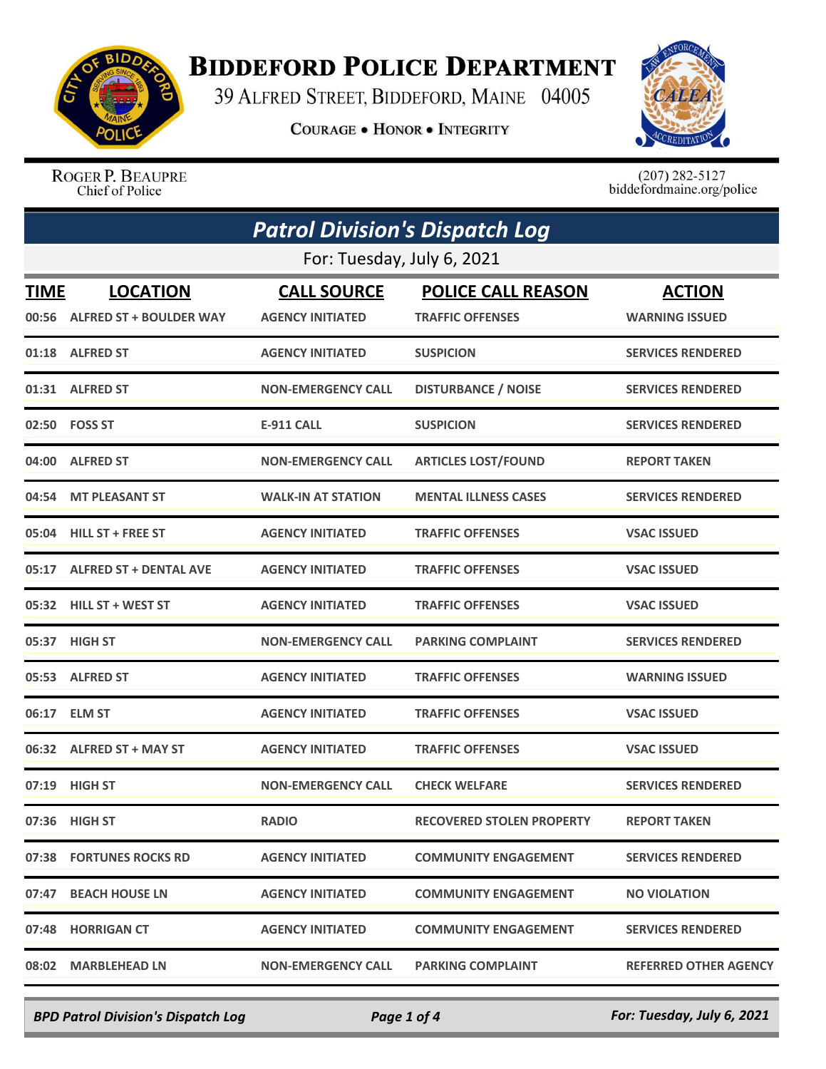

## **BIDDEFORD POLICE DEPARTMENT**

39 ALFRED STREET, BIDDEFORD, MAINE 04005

**COURAGE . HONOR . INTEGRITY** 



ROGER P. BEAUPRE Chief of Police

 $(207)$  282-5127<br>biddefordmaine.org/police

| <b>Patrol Division's Dispatch Log</b> |                                                  |                                               |                                                      |                                        |  |
|---------------------------------------|--------------------------------------------------|-----------------------------------------------|------------------------------------------------------|----------------------------------------|--|
| For: Tuesday, July 6, 2021            |                                                  |                                               |                                                      |                                        |  |
| TIME                                  | <b>LOCATION</b><br>00:56 ALFRED ST + BOULDER WAY | <b>CALL SOURCE</b><br><b>AGENCY INITIATED</b> | <b>POLICE CALL REASON</b><br><b>TRAFFIC OFFENSES</b> | <b>ACTION</b><br><b>WARNING ISSUED</b> |  |
|                                       | 01:18 ALFRED ST                                  | <b>AGENCY INITIATED</b>                       | <b>SUSPICION</b>                                     | <b>SERVICES RENDERED</b>               |  |
|                                       | 01:31 ALFRED ST                                  | <b>NON-EMERGENCY CALL</b>                     | <b>DISTURBANCE / NOISE</b>                           | <b>SERVICES RENDERED</b>               |  |
|                                       | 02:50    FOSS ST                                 | <b>E-911 CALL</b>                             | <b>SUSPICION</b>                                     | <b>SERVICES RENDERED</b>               |  |
| 04:00                                 | <b>ALFRED ST</b>                                 | <b>NON-EMERGENCY CALL</b>                     | <b>ARTICLES LOST/FOUND</b>                           | <b>REPORT TAKEN</b>                    |  |
| 04:54                                 | <b>MT PLEASANT ST</b>                            | <b>WALK-IN AT STATION</b>                     | <b>MENTAL ILLNESS CASES</b>                          | <b>SERVICES RENDERED</b>               |  |
| 05:04                                 | <b>HILL ST + FREE ST</b>                         | <b>AGENCY INITIATED</b>                       | <b>TRAFFIC OFFENSES</b>                              | <b>VSAC ISSUED</b>                     |  |
| 05:17                                 | <b>ALFRED ST + DENTAL AVE</b>                    | <b>AGENCY INITIATED</b>                       | <b>TRAFFIC OFFENSES</b>                              | <b>VSAC ISSUED</b>                     |  |
|                                       | 05:32 HILL ST + WEST ST                          | <b>AGENCY INITIATED</b>                       | <b>TRAFFIC OFFENSES</b>                              | <b>VSAC ISSUED</b>                     |  |
|                                       | 05:37 HIGH ST                                    | <b>NON-EMERGENCY CALL</b>                     | <b>PARKING COMPLAINT</b>                             | <b>SERVICES RENDERED</b>               |  |
|                                       | 05:53 ALFRED ST                                  | <b>AGENCY INITIATED</b>                       | <b>TRAFFIC OFFENSES</b>                              | <b>WARNING ISSUED</b>                  |  |
| 06:17                                 | <b>ELM ST</b>                                    | <b>AGENCY INITIATED</b>                       | <b>TRAFFIC OFFENSES</b>                              | <b>VSAC ISSUED</b>                     |  |
|                                       | 06:32 ALFRED ST + MAY ST                         | <b>AGENCY INITIATED</b>                       | <b>TRAFFIC OFFENSES</b>                              | <b>VSAC ISSUED</b>                     |  |
|                                       | 07:19 HIGH ST                                    | <b>NON-EMERGENCY CALL</b>                     | <b>CHECK WELFARE</b>                                 | <b>SERVICES RENDERED</b>               |  |
|                                       | 07:36 HIGH ST                                    | <b>RADIO</b>                                  | <b>RECOVERED STOLEN PROPERTY</b>                     | <b>REPORT TAKEN</b>                    |  |
|                                       | 07:38 FORTUNES ROCKS RD                          | <b>AGENCY INITIATED</b>                       | <b>COMMUNITY ENGAGEMENT</b>                          | <b>SERVICES RENDERED</b>               |  |
|                                       | 07:47 BEACH HOUSE LN                             | <b>AGENCY INITIATED</b>                       | <b>COMMUNITY ENGAGEMENT</b>                          | <b>NO VIOLATION</b>                    |  |
|                                       | 07:48 HORRIGAN CT                                | <b>AGENCY INITIATED</b>                       | <b>COMMUNITY ENGAGEMENT</b>                          | <b>SERVICES RENDERED</b>               |  |
| 08:02                                 | <b>MARBLEHEAD LN</b>                             | <b>NON-EMERGENCY CALL</b>                     | <b>PARKING COMPLAINT</b>                             | <b>REFERRED OTHER AGENCY</b>           |  |

*BPD Patrol Division's Dispatch Log Page 1 of 4 For: Tuesday, July 6, 2021*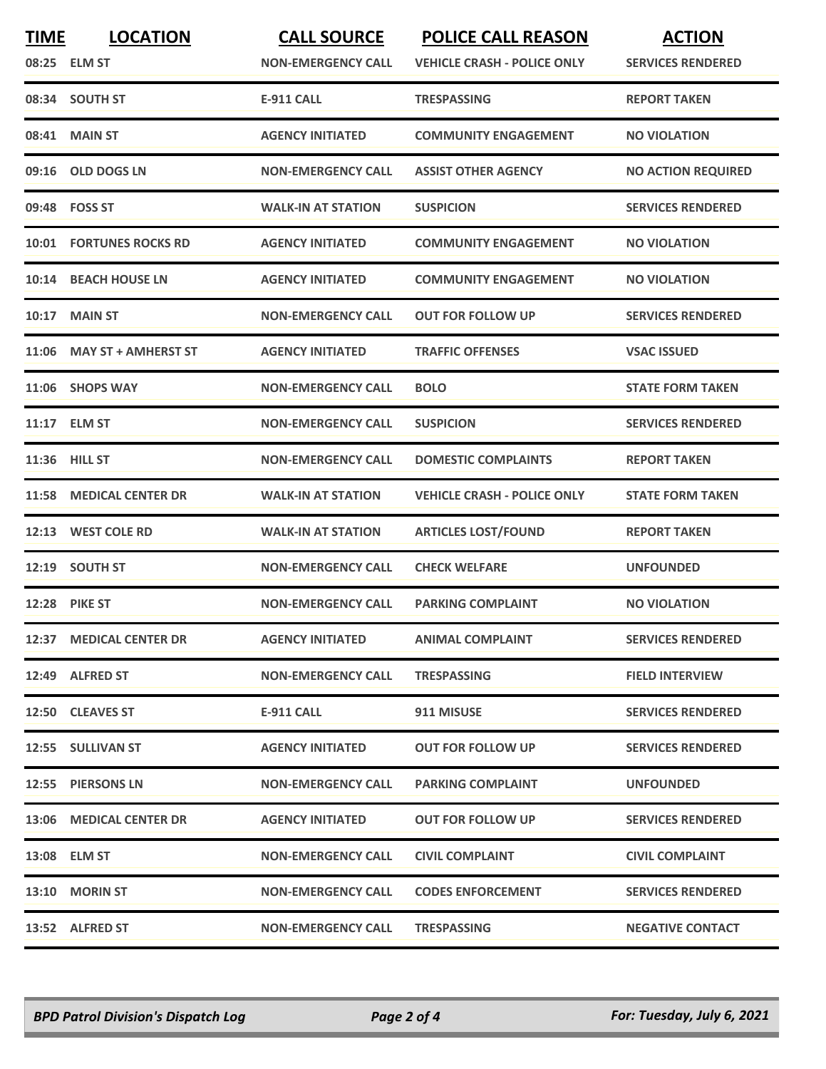| <b>TIME</b> | <b>LOCATION</b><br>08:25 ELM ST | <b>CALL SOURCE</b><br><b>NON-EMERGENCY CALL</b> | <b>POLICE CALL REASON</b><br><b>VEHICLE CRASH - POLICE ONLY</b> | <b>ACTION</b><br><b>SERVICES RENDERED</b> |
|-------------|---------------------------------|-------------------------------------------------|-----------------------------------------------------------------|-------------------------------------------|
|             | 08:34 SOUTH ST                  | <b>E-911 CALL</b>                               | <b>TRESPASSING</b>                                              | <b>REPORT TAKEN</b>                       |
|             | 08:41 MAIN ST                   | <b>AGENCY INITIATED</b>                         | <b>COMMUNITY ENGAGEMENT</b>                                     | <b>NO VIOLATION</b>                       |
| 09:16       | <b>OLD DOGS LN</b>              | <b>NON-EMERGENCY CALL</b>                       | <b>ASSIST OTHER AGENCY</b>                                      | <b>NO ACTION REQUIRED</b>                 |
|             | 09:48 FOSS ST                   | <b>WALK-IN AT STATION</b>                       | <b>SUSPICION</b>                                                | <b>SERVICES RENDERED</b>                  |
| 10:01       | <b>FORTUNES ROCKS RD</b>        | <b>AGENCY INITIATED</b>                         | <b>COMMUNITY ENGAGEMENT</b>                                     | <b>NO VIOLATION</b>                       |
| 10:14       | <b>BEACH HOUSE LN</b>           | <b>AGENCY INITIATED</b>                         | <b>COMMUNITY ENGAGEMENT</b>                                     | <b>NO VIOLATION</b>                       |
| 10:17       | <b>MAIN ST</b>                  | <b>NON-EMERGENCY CALL</b>                       | <b>OUT FOR FOLLOW UP</b>                                        | <b>SERVICES RENDERED</b>                  |
|             | 11:06 MAY ST + AMHERST ST       | <b>AGENCY INITIATED</b>                         | <b>TRAFFIC OFFENSES</b>                                         | <b>VSAC ISSUED</b>                        |
| 11:06       | <b>SHOPS WAY</b>                | <b>NON-EMERGENCY CALL</b>                       | <b>BOLO</b>                                                     | <b>STATE FORM TAKEN</b>                   |
|             | 11:17 ELM ST                    | <b>NON-EMERGENCY CALL</b>                       | <b>SUSPICION</b>                                                | <b>SERVICES RENDERED</b>                  |
| 11:36       | <b>HILL ST</b>                  | <b>NON-EMERGENCY CALL</b>                       | <b>DOMESTIC COMPLAINTS</b>                                      | <b>REPORT TAKEN</b>                       |
| 11:58       | <b>MEDICAL CENTER DR</b>        | <b>WALK-IN AT STATION</b>                       | <b>VEHICLE CRASH - POLICE ONLY</b>                              | <b>STATE FORM TAKEN</b>                   |
| 12:13       | <b>WEST COLE RD</b>             | <b>WALK-IN AT STATION</b>                       | <b>ARTICLES LOST/FOUND</b>                                      | <b>REPORT TAKEN</b>                       |
| 12:19       | <b>SOUTH ST</b>                 | <b>NON-EMERGENCY CALL</b>                       | <b>CHECK WELFARE</b>                                            | <b>UNFOUNDED</b>                          |
| 12:28       | <b>PIKE ST</b>                  | <b>NON-EMERGENCY CALL</b>                       | <b>PARKING COMPLAINT</b>                                        | <b>NO VIOLATION</b>                       |
|             | 12:37 MEDICAL CENTER DR         | <b>AGENCY INITIATED</b>                         | <b>ANIMAL COMPLAINT</b>                                         | <b>SERVICES RENDERED</b>                  |
|             | 12:49 ALFRED ST                 | <b>NON-EMERGENCY CALL</b>                       | <b>TRESPASSING</b>                                              | <b>FIELD INTERVIEW</b>                    |
|             | 12:50 CLEAVES ST                | E-911 CALL                                      | 911 MISUSE                                                      | <b>SERVICES RENDERED</b>                  |
|             | 12:55 SULLIVAN ST               | <b>AGENCY INITIATED</b>                         | <b>OUT FOR FOLLOW UP</b>                                        | <b>SERVICES RENDERED</b>                  |
|             | 12:55 PIERSONS LN               | <b>NON-EMERGENCY CALL</b>                       | <b>PARKING COMPLAINT</b>                                        | <b>UNFOUNDED</b>                          |
|             | 13:06 MEDICAL CENTER DR         | <b>AGENCY INITIATED</b>                         | <b>OUT FOR FOLLOW UP</b>                                        | <b>SERVICES RENDERED</b>                  |
|             | 13:08 ELM ST                    | <b>NON-EMERGENCY CALL</b>                       | <b>CIVIL COMPLAINT</b>                                          | <b>CIVIL COMPLAINT</b>                    |
|             | 13:10 MORIN ST                  | <b>NON-EMERGENCY CALL</b>                       | <b>CODES ENFORCEMENT</b>                                        | <b>SERVICES RENDERED</b>                  |
|             | 13:52 ALFRED ST                 | <b>NON-EMERGENCY CALL</b>                       | <b>TRESPASSING</b>                                              | <b>NEGATIVE CONTACT</b>                   |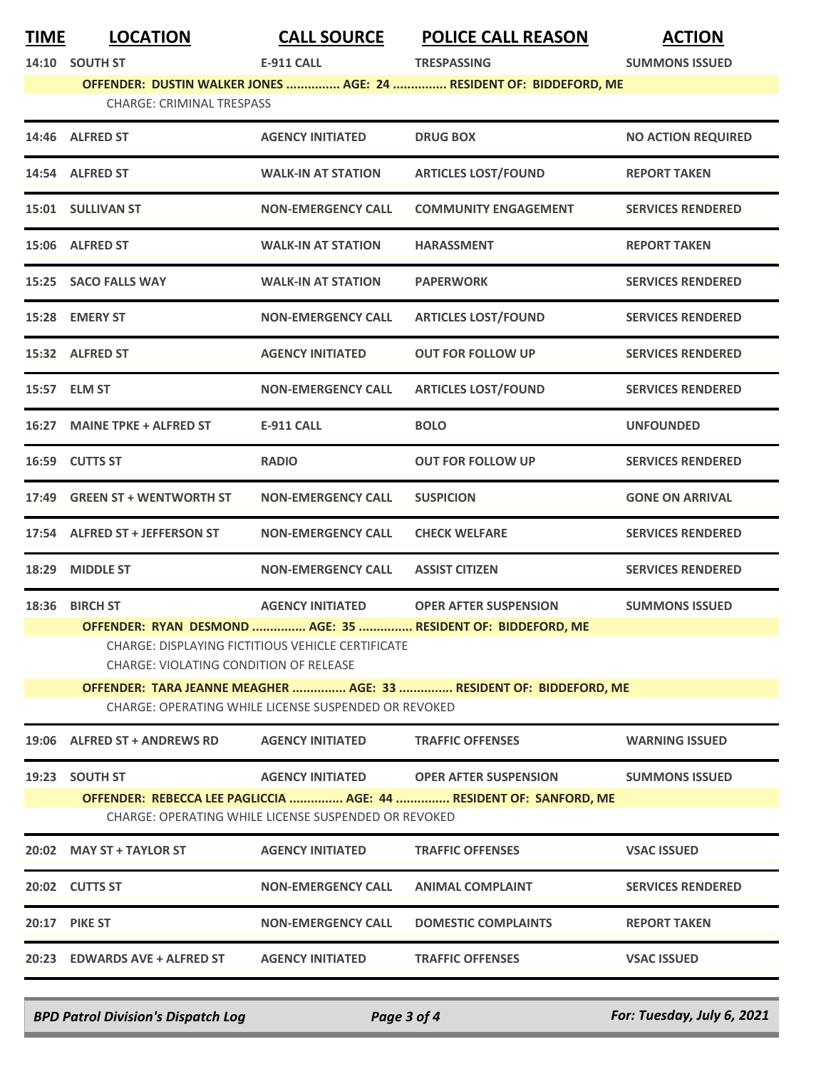| <b>TIME</b> | <b>LOCATION</b>                        | <b>CALL SOURCE</b>                                   | <b>POLICE CALL REASON</b>                                          | <b>ACTION</b>             |
|-------------|----------------------------------------|------------------------------------------------------|--------------------------------------------------------------------|---------------------------|
|             | 14:10 SOUTH ST                         | <b>E-911 CALL</b>                                    | <b>TRESPASSING</b>                                                 | <b>SUMMONS ISSUED</b>     |
|             |                                        |                                                      | OFFENDER: DUSTIN WALKER JONES  AGE: 24  RESIDENT OF: BIDDEFORD, ME |                           |
|             | <b>CHARGE: CRIMINAL TRESPASS</b>       |                                                      |                                                                    |                           |
|             | 14:46 ALFRED ST                        | <b>AGENCY INITIATED</b>                              | <b>DRUG BOX</b>                                                    | <b>NO ACTION REQUIRED</b> |
|             | 14:54 ALFRED ST                        | <b>WALK-IN AT STATION</b>                            | <b>ARTICLES LOST/FOUND</b>                                         | <b>REPORT TAKEN</b>       |
|             | 15:01 SULLIVAN ST                      | <b>NON-EMERGENCY CALL</b>                            | <b>COMMUNITY ENGAGEMENT</b>                                        | <b>SERVICES RENDERED</b>  |
|             | 15:06 ALFRED ST                        | <b>WALK-IN AT STATION</b>                            | <b>HARASSMENT</b>                                                  | <b>REPORT TAKEN</b>       |
|             | 15:25 SACO FALLS WAY                   | <b>WALK-IN AT STATION</b>                            | <b>PAPERWORK</b>                                                   | <b>SERVICES RENDERED</b>  |
|             | 15:28 EMERY ST                         | <b>NON-EMERGENCY CALL</b>                            | <b>ARTICLES LOST/FOUND</b>                                         | <b>SERVICES RENDERED</b>  |
|             | 15:32 ALFRED ST                        | <b>AGENCY INITIATED</b>                              | <b>OUT FOR FOLLOW UP</b>                                           | <b>SERVICES RENDERED</b>  |
|             | 15:57 ELM ST                           | <b>NON-EMERGENCY CALL</b>                            | <b>ARTICLES LOST/FOUND</b>                                         | <b>SERVICES RENDERED</b>  |
|             | 16:27 MAINE TPKE + ALFRED ST           | <b>E-911 CALL</b>                                    | <b>BOLO</b>                                                        | <b>UNFOUNDED</b>          |
|             | 16:59 CUTTS ST                         | <b>RADIO</b>                                         | <b>OUT FOR FOLLOW UP</b>                                           | <b>SERVICES RENDERED</b>  |
| 17:49       | <b>GREEN ST + WENTWORTH ST</b>         | <b>NON-EMERGENCY CALL</b>                            | <b>SUSPICION</b>                                                   | <b>GONE ON ARRIVAL</b>    |
|             | 17:54 ALFRED ST + JEFFERSON ST         | <b>NON-EMERGENCY CALL</b>                            | <b>CHECK WELFARE</b>                                               | <b>SERVICES RENDERED</b>  |
|             | 18:29 MIDDLE ST                        | <b>NON-EMERGENCY CALL</b>                            | <b>ASSIST CITIZEN</b>                                              | <b>SERVICES RENDERED</b>  |
|             | 18:36 BIRCH ST                         | <b>AGENCY INITIATED</b>                              | <b>OPER AFTER SUSPENSION</b>                                       | <b>SUMMONS ISSUED</b>     |
|             | CHARGE: VIOLATING CONDITION OF RELEASE | CHARGE: DISPLAYING FICTITIOUS VEHICLE CERTIFICATE    | OFFENDER: RYAN DESMOND  AGE: 35  RESIDENT OF: BIDDEFORD, ME        |                           |
|             |                                        |                                                      | OFFENDER: TARA JEANNE MEAGHER  AGE: 33  RESIDENT OF: BIDDEFORD, ME |                           |
|             |                                        | CHARGE: OPERATING WHILE LICENSE SUSPENDED OR REVOKED |                                                                    |                           |
|             | 19:06 ALFRED ST + ANDREWS RD           | <b>AGENCY INITIATED</b>                              | <b>TRAFFIC OFFENSES</b>                                            | <b>WARNING ISSUED</b>     |
|             | 19:23 SOUTH ST                         | <b>AGENCY INITIATED</b>                              | <b>OPER AFTER SUSPENSION</b>                                       | <b>SUMMONS ISSUED</b>     |
|             |                                        |                                                      | OFFENDER: REBECCA LEE PAGLICCIA  AGE: 44  RESIDENT OF: SANFORD, ME |                           |
|             |                                        | CHARGE: OPERATING WHILE LICENSE SUSPENDED OR REVOKED |                                                                    |                           |
|             | 20:02 MAY ST + TAYLOR ST               | <b>AGENCY INITIATED</b>                              | <b>TRAFFIC OFFENSES</b>                                            | <b>VSAC ISSUED</b>        |
|             | 20:02 CUTTS ST                         | <b>NON-EMERGENCY CALL</b>                            | <b>ANIMAL COMPLAINT</b>                                            | <b>SERVICES RENDERED</b>  |
|             | <b>20:17 PIKE ST</b>                   | <b>NON-EMERGENCY CALL</b>                            | <b>DOMESTIC COMPLAINTS</b>                                         | <b>REPORT TAKEN</b>       |
|             | 20:23 EDWARDS AVE + ALFRED ST          | <b>AGENCY INITIATED</b>                              | <b>TRAFFIC OFFENSES</b>                                            | <b>VSAC ISSUED</b>        |
|             |                                        |                                                      |                                                                    |                           |

*BPD Patrol Division's Dispatch Log Page 3 of 4 For: Tuesday, July 6, 2021*